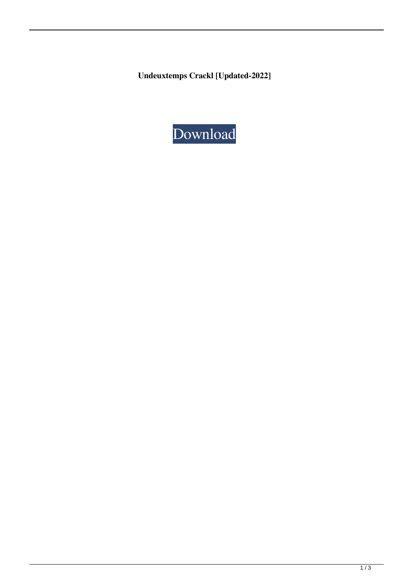**Undeuxtemps Crackl [Updated-2022]**

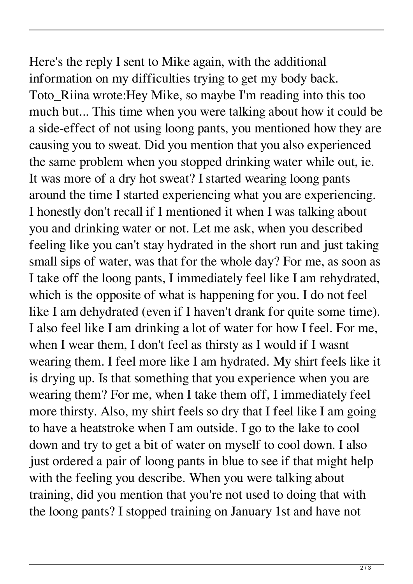Here's the reply I sent to Mike again, with the additional information on my difficulties trying to get my body back. Toto\_Riina wrote:Hey Mike, so maybe I'm reading into this too much but... This time when you were talking about how it could be a side-effect of not using loong pants, you mentioned how they are causing you to sweat. Did you mention that you also experienced the same problem when you stopped drinking water while out, ie. It was more of a dry hot sweat? I started wearing loong pants around the time I started experiencing what you are experiencing. I honestly don't recall if I mentioned it when I was talking about you and drinking water or not. Let me ask, when you described feeling like you can't stay hydrated in the short run and just taking small sips of water, was that for the whole day? For me, as soon as I take off the loong pants, I immediately feel like I am rehydrated, which is the opposite of what is happening for you. I do not feel like I am dehydrated (even if I haven't drank for quite some time). I also feel like I am drinking a lot of water for how I feel. For me, when I wear them, I don't feel as thirsty as I would if I wasnt wearing them. I feel more like I am hydrated. My shirt feels like it is drying up. Is that something that you experience when you are wearing them? For me, when I take them off, I immediately feel more thirsty. Also, my shirt feels so dry that I feel like I am going to have a heatstroke when I am outside. I go to the lake to cool down and try to get a bit of water on myself to cool down. I also just ordered a pair of loong pants in blue to see if that might help with the feeling you describe. When you were talking about training, did you mention that you're not used to doing that with the loong pants? I stopped training on January 1st and have not